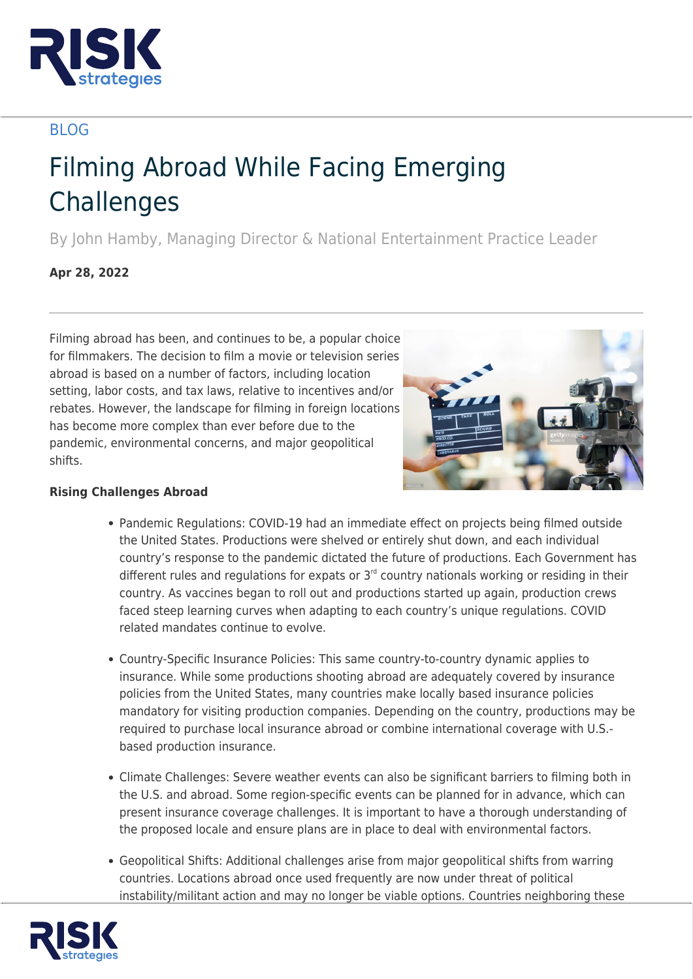

## BLOG

## Filming Abroad While Facing Emerging **Challenges**

By John Hamby, Managing Director & National Entertainment Practice Leader

**Apr 28, 2022**

Filming abroad has been, and continues to be, a popular choice for filmmakers. The decision to film a movie or television series abroad is based on a number of factors, including location setting, labor costs, and tax laws, relative to incentives and/or rebates. However, the landscape for filming in foreign locations has become more complex than ever before due to the pandemic, environmental concerns, and major geopolitical shifts.



## **Rising Challenges Abroad**

- Pandemic Regulations: COVID-19 had an immediate effect on projects being filmed outside the United States. Productions were shelved or entirely shut down, and each individual country's response to the pandemic dictated the future of productions. Each Government has different rules and regulations for expats or  $3<sup>rd</sup>$  country nationals working or residing in their country. As vaccines began to roll out and productions started up again, production crews faced steep learning curves when adapting to each country's unique regulations. COVID related mandates continue to evolve.
- Country-Specific Insurance Policies: This same country-to-country dynamic applies to insurance. While some productions shooting abroad are adequately covered by insurance policies from the United States, many countries make locally based insurance policies mandatory for visiting production companies. Depending on the country, productions may be required to purchase local insurance abroad or combine international coverage with U.S. based production insurance.
- Climate Challenges: Severe weather events can also be significant barriers to filming both in the U.S. and abroad. Some region-specific events can be planned for in advance, which can present insurance coverage challenges. It is important to have a thorough understanding of the proposed locale and ensure plans are in place to deal with environmental factors.
- Geopolitical Shifts: Additional challenges arise from major geopolitical shifts from warring countries. Locations abroad once used frequently are now under threat of political instability/militant action and may no longer be viable options. Countries neighboring these